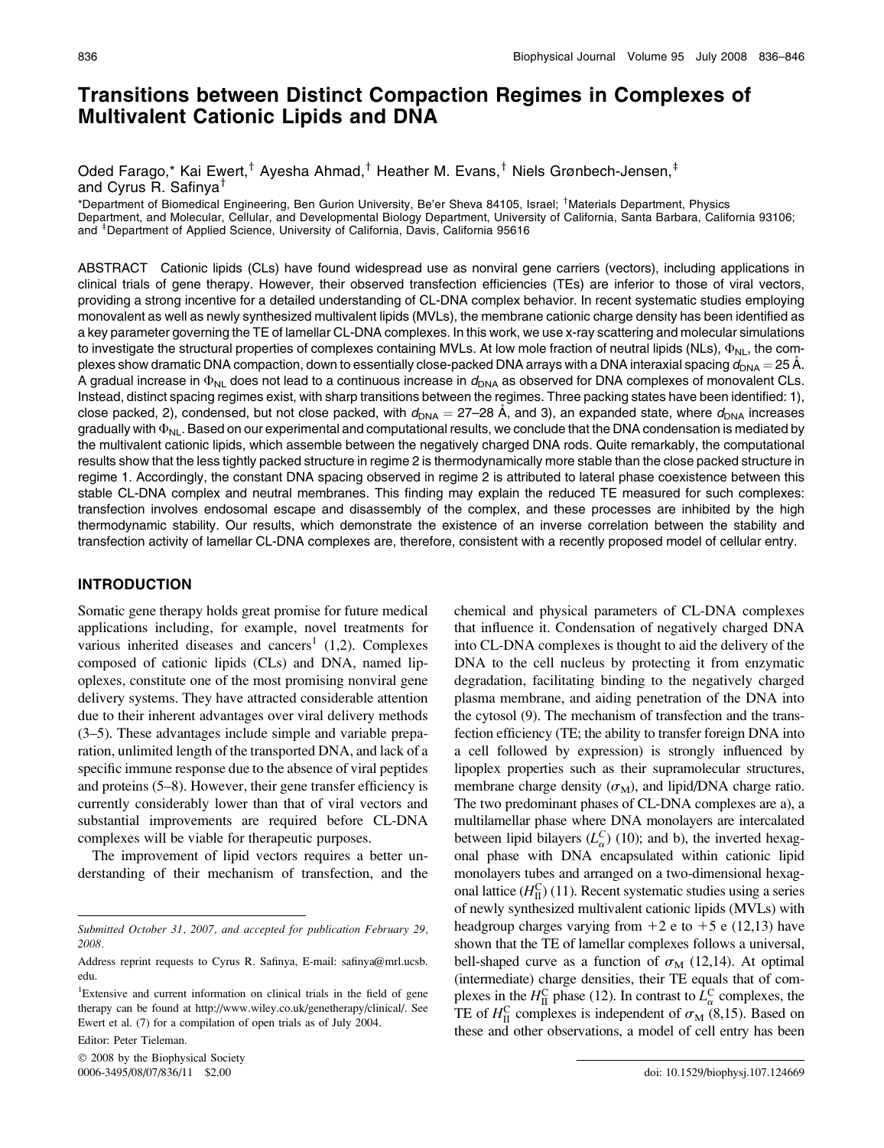# Transitions between Distinct Compaction Regimes in Complexes of Multivalent Cationic Lipids and DNA

Oded Farago,\* Kai Ewert,<sup>†</sup> Ayesha Ahmad,<sup>†</sup> Heather M. Evans,<sup>†</sup> Niels Grønbech-Jensen,<sup>‡</sup> and Cyrus R. Safinya<sup>t</sup>

\*Department of Biomedical Engineering, Ben Gurion University, Be'er Sheva 84105, Israel; <sup>†</sup>Materials Department, Physics Department, and Molecular, Cellular, and Developmental Biology Department, University of California, Santa Barbara, California 93106; and <sup>‡</sup>Department of Applied Science, University of California, Davis, California 95616

ABSTRACT Cationic lipids (CLs) have found widespread use as nonviral gene carriers (vectors), including applications in clinical trials of gene therapy. However, their observed transfection efficiencies (TEs) are inferior to those of viral vectors, providing a strong incentive for a detailed understanding of CL-DNA complex behavior. In recent systematic studies employing monovalent as well as newly synthesized multivalent lipids (MVLs), the membrane cationic charge density has been identified as a key parameter governing the TE of lamellar CL-DNA complexes. In this work, we use x-ray scattering and molecular simulations to investigate the structural properties of complexes containing MVLs. At low mole fraction of neutral lipids (NLs),  $\Phi_{NL}$ , the complexes show dramatic DNA compaction, down to essentially close-packed DNA arrays with a DNA interaxial spacing  $d_{\text{DNA}} = 25$  A. A gradual increase in  $\Phi_{NL}$  does not lead to a continuous increase in  $d_{DNA}$  as observed for DNA complexes of monovalent CLs. Instead, distinct spacing regimes exist, with sharp transitions between the regimes. Three packing states have been identified: 1), close packed, 2), condensed, but not close packed, with  $d_{\text{DNA}} = 27-28$  Å, and 3), an expanded state, where  $d_{\text{DNA}}$  increases gradually with  $\Phi_{NL}$ . Based on our experimental and computational results, we conclude that the DNA condensation is mediated by the multivalent cationic lipids, which assemble between the negatively charged DNA rods. Quite remarkably, the computational results show that the less tightly packed structure in regime 2 is thermodynamically more stable than the close packed structure in regime 1. Accordingly, the constant DNA spacing observed in regime 2 is attributed to lateral phase coexistence between this stable CL-DNA complex and neutral membranes. This finding may explain the reduced TE measured for such complexes: transfection involves endosomal escape and disassembly of the complex, and these processes are inhibited by the high thermodynamic stability. Our results, which demonstrate the existence of an inverse correlation between the stability and transfection activity of lamellar CL-DNA complexes are, therefore, consistent with a recently proposed model of cellular entry.

#### INTRODUCTION

Somatic gene therapy holds great promise for future medical applications including, for example, novel treatments for various inherited diseases and cancers<sup>1</sup> (1,2). Complexes composed of cationic lipids (CLs) and DNA, named lipoplexes, constitute one of the most promising nonviral gene delivery systems. They have attracted considerable attention due to their inherent advantages over viral delivery methods (3–5). These advantages include simple and variable preparation, unlimited length of the transported DNA, and lack of a specific immune response due to the absence of viral peptides and proteins (5–8). However, their gene transfer efficiency is currently considerably lower than that of viral vectors and substantial improvements are required before CL-DNA complexes will be viable for therapeutic purposes.

The improvement of lipid vectors requires a better understanding of their mechanism of transfection, and the

Editor: Peter Tieleman.

 $© 2008$  by the Biophysical Society 0006-3495/08/07/836/11 \$2.00

chemical and physical parameters of CL-DNA complexes that influence it. Condensation of negatively charged DNA into CL-DNA complexes is thought to aid the delivery of the DNA to the cell nucleus by protecting it from enzymatic degradation, facilitating binding to the negatively charged plasma membrane, and aiding penetration of the DNA into the cytosol (9). The mechanism of transfection and the transfection efficiency (TE; the ability to transfer foreign DNA into a cell followed by expression) is strongly influenced by lipoplex properties such as their supramolecular structures, membrane charge density  $(\sigma_M)$ , and lipid/DNA charge ratio. The two predominant phases of CL-DNA complexes are a), a multilamellar phase where DNA monolayers are intercalated between lipid bilayers  $(L_{\alpha}^{C})$  (10); and b), the inverted hexagonal phase with DNA encapsulated within cationic lipid monolayers tubes and arranged on a two-dimensional hexagonal lattice  $(H_{II}^C)$  (11). Recent systematic studies using a series of newly synthesized multivalent cationic lipids (MVLs) with headgroup charges varying from  $+2$  e to  $+5$  e (12,13) have shown that the TE of lamellar complexes follows a universal, bell-shaped curve as a function of  $\sigma_{\text{M}}$  (12,14). At optimal (intermediate) charge densities, their TE equals that of complexes in the  $H_{\text{II}}^{\text{C}}$  phase (12). In contrast to  $L_{\alpha}^{\text{C}}$  complexes, the TE of  $H_{\text{II}}^{\text{C}}$  complexes is independent of  $\sigma_{\text{M}}$  (8,15). Based on these and other observations, a model of cell entry has been

Submitted October 31, 2007, and accepted for publication February 29, 2008.

Address reprint requests to Cyrus R. Safinya, E-mail: safinya@mrl.ucsb. edu.

<sup>&</sup>lt;sup>1</sup>Extensive and current information on clinical trials in the field of gene therapy can be found at http://www.wiley.co.uk/genetherapy/clinical/. See Ewert et al. (7) for a compilation of open trials as of July 2004.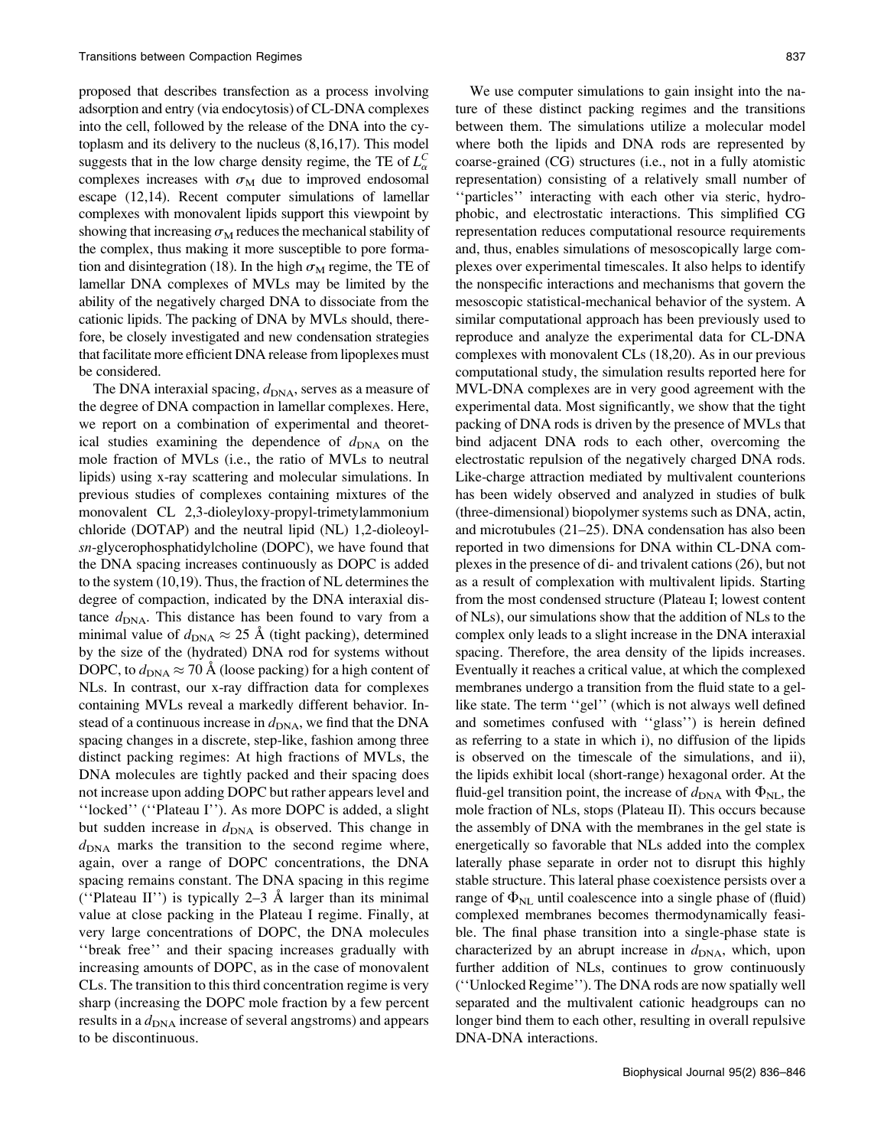proposed that describes transfection as a process involving adsorption and entry (via endocytosis) of CL-DNA complexes into the cell, followed by the release of the DNA into the cytoplasm and its delivery to the nucleus (8,16,17). This model suggests that in the low charge density regime, the TE of  $L_{\alpha}^C$ complexes increases with  $\sigma_M$  due to improved endosomal escape (12,14). Recent computer simulations of lamellar complexes with monovalent lipids support this viewpoint by showing that increasing  $\sigma_M$  reduces the mechanical stability of the complex, thus making it more susceptible to pore formation and disintegration (18). In the high  $\sigma_M$  regime, the TE of lamellar DNA complexes of MVLs may be limited by the ability of the negatively charged DNA to dissociate from the cationic lipids. The packing of DNA by MVLs should, therefore, be closely investigated and new condensation strategies that facilitate more efficient DNA release from lipoplexes must be considered.

The DNA interaxial spacing,  $d_{\text{DNA}}$ , serves as a measure of the degree of DNA compaction in lamellar complexes. Here, we report on a combination of experimental and theoretical studies examining the dependence of  $d_{\text{DNA}}$  on the mole fraction of MVLs (i.e., the ratio of MVLs to neutral lipids) using x-ray scattering and molecular simulations. In previous studies of complexes containing mixtures of the monovalent CL 2,3-dioleyloxy-propyl-trimetylammonium chloride (DOTAP) and the neutral lipid (NL) 1,2-dioleoylsn-glycerophosphatidylcholine (DOPC), we have found that the DNA spacing increases continuously as DOPC is added to the system (10,19). Thus, the fraction of NL determines the degree of compaction, indicated by the DNA interaxial distance  $d_{\text{DNA}}$ . This distance has been found to vary from a minimal value of  $d_{\text{DNA}} \approx 25 \text{ Å}$  (tight packing), determined by the size of the (hydrated) DNA rod for systems without DOPC, to  $d_{\text{DNA}} \approx 70 \text{ Å}$  (loose packing) for a high content of NLs. In contrast, our x-ray diffraction data for complexes containing MVLs reveal a markedly different behavior. Instead of a continuous increase in  $d_{\text{DNA}}$ , we find that the DNA spacing changes in a discrete, step-like, fashion among three distinct packing regimes: At high fractions of MVLs, the DNA molecules are tightly packed and their spacing does not increase upon adding DOPC but rather appears level and ''locked'' (''Plateau I''). As more DOPC is added, a slight but sudden increase in  $d_{\text{DNA}}$  is observed. This change in  $d_{\text{DNA}}$  marks the transition to the second regime where, again, over a range of DOPC concentrations, the DNA spacing remains constant. The DNA spacing in this regime ("Plateau II") is typically  $2-3$  Å larger than its minimal value at close packing in the Plateau I regime. Finally, at very large concentrations of DOPC, the DNA molecules ''break free'' and their spacing increases gradually with increasing amounts of DOPC, as in the case of monovalent CLs. The transition to this third concentration regime is very sharp (increasing the DOPC mole fraction by a few percent results in a  $d_{\text{DNA}}$  increase of several angstroms) and appears to be discontinuous.

We use computer simulations to gain insight into the nature of these distinct packing regimes and the transitions between them. The simulations utilize a molecular model where both the lipids and DNA rods are represented by coarse-grained (CG) structures (i.e., not in a fully atomistic representation) consisting of a relatively small number of "particles" interacting with each other via steric, hydrophobic, and electrostatic interactions. This simplified CG representation reduces computational resource requirements and, thus, enables simulations of mesoscopically large complexes over experimental timescales. It also helps to identify the nonspecific interactions and mechanisms that govern the mesoscopic statistical-mechanical behavior of the system. A similar computational approach has been previously used to reproduce and analyze the experimental data for CL-DNA complexes with monovalent CLs (18,20). As in our previous computational study, the simulation results reported here for MVL-DNA complexes are in very good agreement with the experimental data. Most significantly, we show that the tight packing of DNA rods is driven by the presence of MVLs that bind adjacent DNA rods to each other, overcoming the electrostatic repulsion of the negatively charged DNA rods. Like-charge attraction mediated by multivalent counterions has been widely observed and analyzed in studies of bulk (three-dimensional) biopolymer systems such as DNA, actin, and microtubules (21–25). DNA condensation has also been reported in two dimensions for DNA within CL-DNA complexes in the presence of di- and trivalent cations (26), but not as a result of complexation with multivalent lipids. Starting from the most condensed structure (Plateau I; lowest content of NLs), our simulations show that the addition of NLs to the complex only leads to a slight increase in the DNA interaxial spacing. Therefore, the area density of the lipids increases. Eventually it reaches a critical value, at which the complexed membranes undergo a transition from the fluid state to a gellike state. The term ''gel'' (which is not always well defined and sometimes confused with ''glass'') is herein defined as referring to a state in which i), no diffusion of the lipids is observed on the timescale of the simulations, and ii), the lipids exhibit local (short-range) hexagonal order. At the fluid-gel transition point, the increase of  $d_{DNA}$  with  $\Phi_{NL}$ , the mole fraction of NLs, stops (Plateau II). This occurs because the assembly of DNA with the membranes in the gel state is energetically so favorable that NLs added into the complex laterally phase separate in order not to disrupt this highly stable structure. This lateral phase coexistence persists over a range of  $\Phi_{NL}$  until coalescence into a single phase of (fluid) complexed membranes becomes thermodynamically feasible. The final phase transition into a single-phase state is characterized by an abrupt increase in  $d_{\text{DNA}}$ , which, upon further addition of NLs, continues to grow continuously (''Unlocked Regime''). The DNA rods are now spatially well separated and the multivalent cationic headgroups can no longer bind them to each other, resulting in overall repulsive DNA-DNA interactions.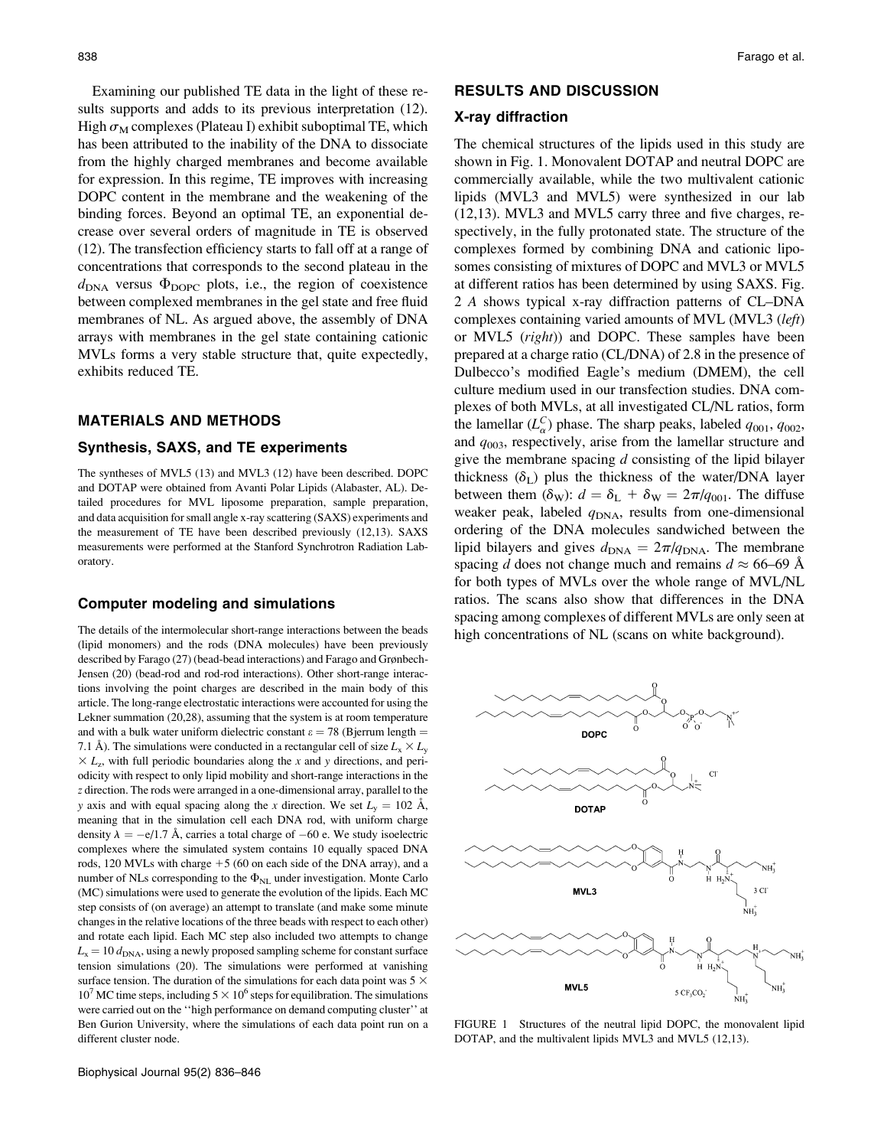Examining our published TE data in the light of these results supports and adds to its previous interpretation  $(12)$ . High  $\sigma_M$  complexes (Plateau I) exhibit suboptimal TE, which has been attributed to the inability of the DNA to dissociate from the highly charged membranes and become available for expression. In this regime, TE improves with increasing DOPC content in the membrane and the weakening of the binding forces. Beyond an optimal TE, an exponential decrease over several orders of magnitude in TE is observed (12). The transfection efficiency starts to fall off at a range of concentrations that corresponds to the second plateau in the  $d_{\text{DNA}}$  versus  $\Phi_{\text{DOPC}}$  plots, i.e., the region of coexistence between complexed membranes in the gel state and free fluid membranes of NL. As argued above, the assembly of DNA arrays with membranes in the gel state containing cationic MVLs forms a very stable structure that, quite expectedly, exhibits reduced TE.

# MATERIALS AND METHODS

# Synthesis, SAXS, and TE experiments

The syntheses of MVL5 (13) and MVL3 (12) have been described. DOPC and DOTAP were obtained from Avanti Polar Lipids (Alabaster, AL). Detailed procedures for MVL liposome preparation, sample preparation, and data acquisition for small angle x-ray scattering (SAXS) experiments and the measurement of TE have been described previously (12,13). SAXS measurements were performed at the Stanford Synchrotron Radiation Laboratory.

### Computer modeling and simulations

The details of the intermolecular short-range interactions between the beads (lipid monomers) and the rods (DNA molecules) have been previously described by Farago (27) (bead-bead interactions) and Farago and Grønbech-Jensen (20) (bead-rod and rod-rod interactions). Other short-range interactions involving the point charges are described in the main body of this article. The long-range electrostatic interactions were accounted for using the Lekner summation (20,28), assuming that the system is at room temperature and with a bulk water uniform dielectric constant  $\varepsilon = 78$  (Bjerrum length = 7.1 Å). The simulations were conducted in a rectangular cell of size  $L_{x} \times L_{y}$  $\times L_{z}$ , with full periodic boundaries along the x and y directions, and periodicity with respect to only lipid mobility and short-range interactions in the z direction. The rods were arranged in a one-dimensional array, parallel to the y axis and with equal spacing along the x direction. We set  $L<sub>v</sub> = 102$  Å, meaning that in the simulation cell each DNA rod, with uniform charge density  $\lambda = -e/1.7$  Å, carries a total charge of  $-60$  e. We study isoelectric complexes where the simulated system contains 10 equally spaced DNA rods, 120 MVLs with charge  $+5$  (60 on each side of the DNA array), and a number of NLs corresponding to the  $\Phi_{NL}$  under investigation. Monte Carlo (MC) simulations were used to generate the evolution of the lipids. Each MC step consists of (on average) an attempt to translate (and make some minute changes in the relative locations of the three beads with respect to each other) and rotate each lipid. Each MC step also included two attempts to change  $L_{\rm x}$  = 10  $d_{\rm DNA}$ , using a newly proposed sampling scheme for constant surface tension simulations (20). The simulations were performed at vanishing surface tension. The duration of the simulations for each data point was 5  $\times$  $10^7$  MC time steps, including  $5 \times 10^6$  steps for equilibration. The simulations were carried out on the ''high performance on demand computing cluster'' at Ben Gurion University, where the simulations of each data point run on a different cluster node.

# RESULTS AND DISCUSSION

## X-ray diffraction

The chemical structures of the lipids used in this study are shown in Fig. 1. Monovalent DOTAP and neutral DOPC are commercially available, while the two multivalent cationic lipids (MVL3 and MVL5) were synthesized in our lab (12,13). MVL3 and MVL5 carry three and five charges, respectively, in the fully protonated state. The structure of the complexes formed by combining DNA and cationic liposomes consisting of mixtures of DOPC and MVL3 or MVL5 at different ratios has been determined by using SAXS. Fig. 2 A shows typical x-ray diffraction patterns of CL–DNA complexes containing varied amounts of MVL (MVL3 (left) or MVL5 (right)) and DOPC. These samples have been prepared at a charge ratio (CL/DNA) of 2.8 in the presence of Dulbecco's modified Eagle's medium (DMEM), the cell culture medium used in our transfection studies. DNA complexes of both MVLs, at all investigated CL/NL ratios, form the lamellar  $(L_{\alpha}^{C})$  phase. The sharp peaks, labeled  $q_{001}$ ,  $q_{002}$ , and  $q_{003}$ , respectively, arise from the lamellar structure and give the membrane spacing  $d$  consisting of the lipid bilayer thickness  $(\delta_{\text{L}})$  plus the thickness of the water/DNA layer between them  $(\delta_{\rm W})$ :  $d = \delta_{\rm L} + \delta_{\rm W} = 2\pi/q_{001}$ . The diffuse weaker peak, labeled  $q<sub>DNA</sub>$ , results from one-dimensional ordering of the DNA molecules sandwiched between the lipid bilayers and gives  $d_{\text{DNA}} = 2\pi/q_{\text{DNA}}$ . The membrane spacing *d* does not change much and remains  $d \approx 66{\text -}69$  Å for both types of MVLs over the whole range of MVL/NL ratios. The scans also show that differences in the DNA spacing among complexes of different MVLs are only seen at high concentrations of NL (scans on white background).



FIGURE 1 Structures of the neutral lipid DOPC, the monovalent lipid DOTAP, and the multivalent lipids MVL3 and MVL5 (12,13).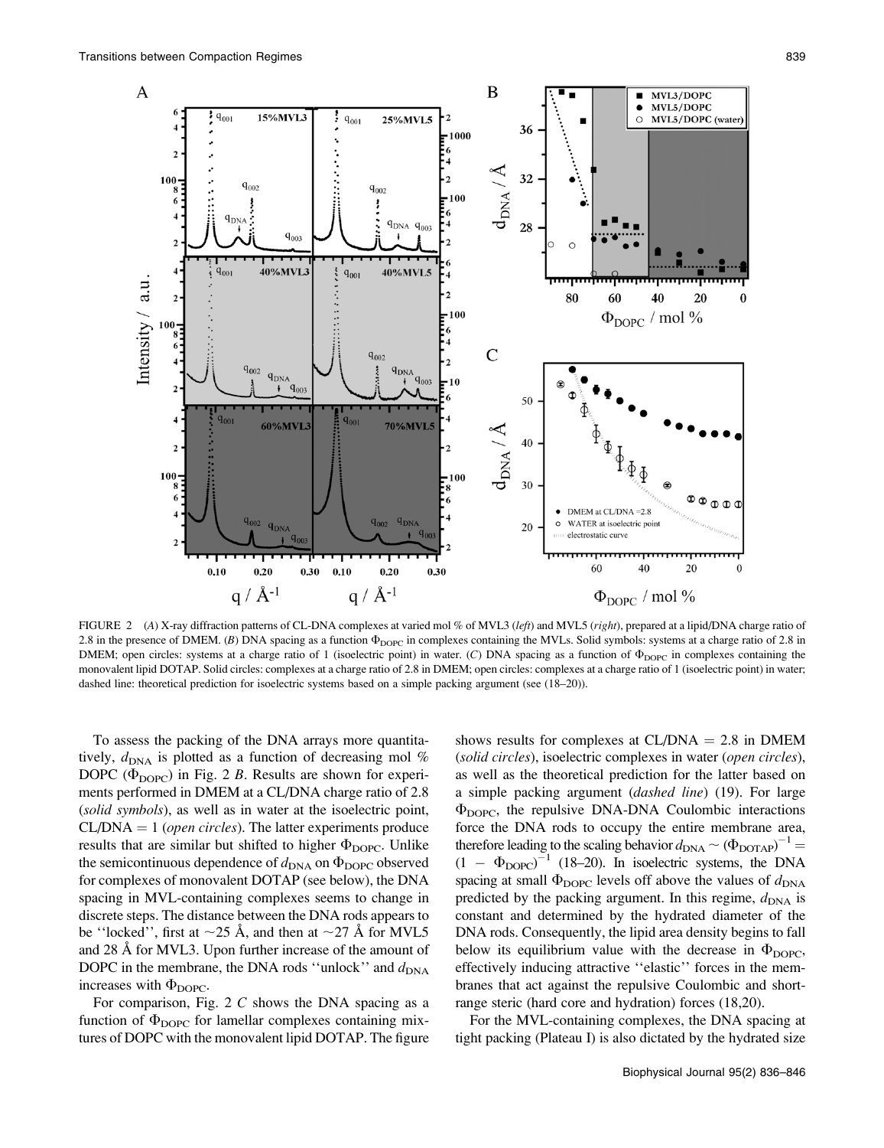

FIGURE 2 (A) X-ray diffraction patterns of CL-DNA complexes at varied mol % of MVL3 (left) and MVL5 (right), prepared at a lipid/DNA charge ratio of 2.8 in the presence of DMEM. (B) DNA spacing as a function  $\Phi_{\text{DOPC}}$  in complexes containing the MVLs. Solid symbols: systems at a charge ratio of 2.8 in DMEM; open circles: systems at a charge ratio of 1 (isoelectric point) in water. (C) DNA spacing as a function of  $\Phi_{\text{DOPC}}$  in complexes containing the monovalent lipid DOTAP. Solid circles: complexes at a charge ratio of 2.8 in DMEM; open circles: complexes at a charge ratio of 1 (isoelectric point) in water; dashed line: theoretical prediction for isoelectric systems based on a simple packing argument (see (18–20)).

To assess the packing of the DNA arrays more quantitatively,  $d_{\text{DNA}}$  is plotted as a function of decreasing mol % DOPC ( $\Phi_{\text{DOPC}}$ ) in Fig. 2 B. Results are shown for experiments performed in DMEM at a CL/DNA charge ratio of 2.8 (solid symbols), as well as in water at the isoelectric point,  $CL/DNA = 1$  (*open circles*). The latter experiments produce results that are similar but shifted to higher  $\Phi_{\text{DOPC}}$ . Unlike the semicontinuous dependence of  $d_{\text{DNA}}$  on  $\Phi_{\text{DOPC}}$  observed for complexes of monovalent DOTAP (see below), the DNA spacing in MVL-containing complexes seems to change in discrete steps. The distance between the DNA rods appears to be "locked", first at  $\sim$ 25 Å, and then at  $\sim$ 27 Å for MVL5 and 28 A˚ for MVL3. Upon further increase of the amount of DOPC in the membrane, the DNA rods "unlock" and  $d_{\text{DNA}}$ increases with  $\Phi_{\text{DOPC}}$ .

For comparison, Fig.  $2 C$  shows the DNA spacing as a function of  $\Phi_{\text{DOPC}}$  for lamellar complexes containing mixtures of DOPC with the monovalent lipid DOTAP. The figure

shows results for complexes at  $CL/DNA = 2.8$  in DMEM (solid circles), isoelectric complexes in water (open circles), as well as the theoretical prediction for the latter based on a simple packing argument (dashed line) (19). For large  $\Phi_{\text{DOPC}}$ , the repulsive DNA-DNA Coulombic interactions force the DNA rods to occupy the entire membrane area, therefore leading to the scaling behavior  $d_{\text{DNA}} \sim (\Phi_{\text{DOTAP}})^{-1}$  =  $(1 - \Phi_{\text{DOPC}})^{-1}$  (18–20). In isoelectric systems, the DNA spacing at small  $\Phi_{\text{DOPC}}$  levels off above the values of  $d_{\text{DNA}}$ predicted by the packing argument. In this regime,  $d_{\text{DNA}}$  is constant and determined by the hydrated diameter of the DNA rods. Consequently, the lipid area density begins to fall below its equilibrium value with the decrease in  $\Phi_{\text{DOPC}}$ , effectively inducing attractive ''elastic'' forces in the membranes that act against the repulsive Coulombic and shortrange steric (hard core and hydration) forces (18,20).

For the MVL-containing complexes, the DNA spacing at tight packing (Plateau I) is also dictated by the hydrated size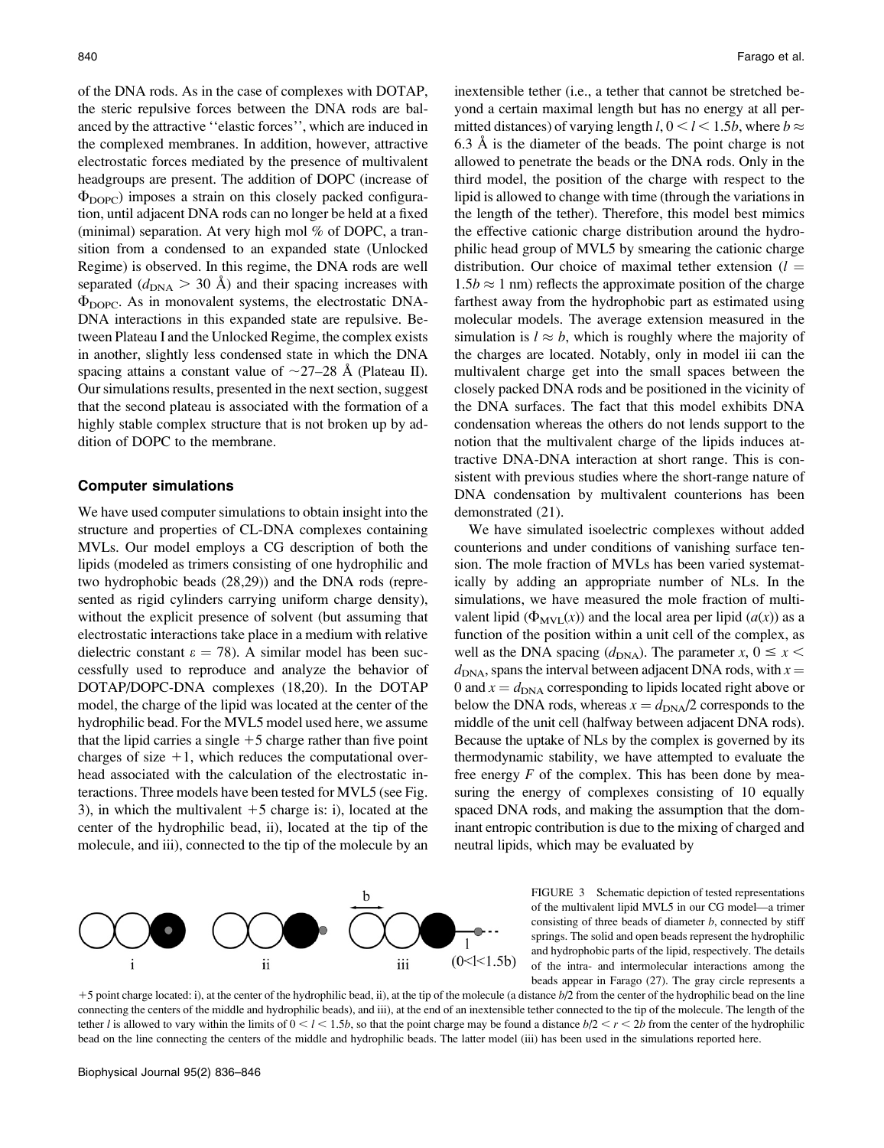of the DNA rods. As in the case of complexes with DOTAP, the steric repulsive forces between the DNA rods are balanced by the attractive ''elastic forces'', which are induced in the complexed membranes. In addition, however, attractive electrostatic forces mediated by the presence of multivalent headgroups are present. The addition of DOPC (increase of  $\Phi_{\text{DOPC}}$ ) imposes a strain on this closely packed configuration, until adjacent DNA rods can no longer be held at a fixed (minimal) separation. At very high mol % of DOPC, a transition from a condensed to an expanded state (Unlocked Regime) is observed. In this regime, the DNA rods are well separated ( $d_{\text{DNA}} > 30$  Å) and their spacing increases with  $\Phi_{\text{DOPC}}$ . As in monovalent systems, the electrostatic DNA-DNA interactions in this expanded state are repulsive. Between Plateau I and the Unlocked Regime, the complex exists in another, slightly less condensed state in which the DNA spacing attains a constant value of  $\sim$ 27–28 Å (Plateau II). Our simulations results, presented in the next section, suggest that the second plateau is associated with the formation of a highly stable complex structure that is not broken up by addition of DOPC to the membrane.

#### Computer simulations

We have used computer simulations to obtain insight into the structure and properties of CL-DNA complexes containing MVLs. Our model employs a CG description of both the lipids (modeled as trimers consisting of one hydrophilic and two hydrophobic beads (28,29)) and the DNA rods (represented as rigid cylinders carrying uniform charge density), without the explicit presence of solvent (but assuming that electrostatic interactions take place in a medium with relative dielectric constant  $\epsilon = 78$ ). A similar model has been successfully used to reproduce and analyze the behavior of DOTAP/DOPC-DNA complexes (18,20). In the DOTAP model, the charge of the lipid was located at the center of the hydrophilic bead. For the MVL5 model used here, we assume that the lipid carries a single  $+5$  charge rather than five point charges of size  $+1$ , which reduces the computational overhead associated with the calculation of the electrostatic interactions. Three models have been tested for MVL5 (see Fig. 3), in which the multivalent  $+5$  charge is: i), located at the center of the hydrophilic bead, ii), located at the tip of the molecule, and iii), connected to the tip of the molecule by an

inextensible tether (i.e., a tether that cannot be stretched beyond a certain maximal length but has no energy at all permitted distances) of varying length  $l, 0 < l < 1.5b$ , where  $b \approx$ 6.3 Å is the diameter of the beads. The point charge is not allowed to penetrate the beads or the DNA rods. Only in the third model, the position of the charge with respect to the lipid is allowed to change with time (through the variations in the length of the tether). Therefore, this model best mimics the effective cationic charge distribution around the hydrophilic head group of MVL5 by smearing the cationic charge distribution. Our choice of maximal tether extension  $(l =$  $1.5b \approx 1$  nm) reflects the approximate position of the charge farthest away from the hydrophobic part as estimated using molecular models. The average extension measured in the simulation is  $l \approx b$ , which is roughly where the majority of the charges are located. Notably, only in model iii can the multivalent charge get into the small spaces between the closely packed DNA rods and be positioned in the vicinity of the DNA surfaces. The fact that this model exhibits DNA condensation whereas the others do not lends support to the notion that the multivalent charge of the lipids induces attractive DNA-DNA interaction at short range. This is consistent with previous studies where the short-range nature of DNA condensation by multivalent counterions has been demonstrated (21).

We have simulated isoelectric complexes without added counterions and under conditions of vanishing surface tension. The mole fraction of MVLs has been varied systematically by adding an appropriate number of NLs. In the simulations, we have measured the mole fraction of multivalent lipid ( $\Phi_{MVL}(x)$ ) and the local area per lipid ( $a(x)$ ) as a function of the position within a unit cell of the complex, as well as the DNA spacing ( $d_{\text{DNA}}$ ). The parameter x,  $0 \le x <$  $d_{\text{DNA}}$ , spans the interval between adjacent DNA rods, with  $x =$ 0 and  $x = d_{\text{DNA}}$  corresponding to lipids located right above or below the DNA rods, whereas  $x = d_{\text{DNA}}/2$  corresponds to the middle of the unit cell (halfway between adjacent DNA rods). Because the uptake of NLs by the complex is governed by its thermodynamic stability, we have attempted to evaluate the free energy  $F$  of the complex. This has been done by measuring the energy of complexes consisting of 10 equally spaced DNA rods, and making the assumption that the dominant entropic contribution is due to the mixing of charged and neutral lipids, which may be evaluated by



FIGURE 3 Schematic depiction of tested representations of the multivalent lipid MVL5 in our CG model—a trimer consisting of three beads of diameter  $b$ , connected by stiff springs. The solid and open beads represent the hydrophilic and hydrophobic parts of the lipid, respectively. The details of the intra- and intermolecular interactions among the beads appear in Farago (27). The gray circle represents a

+5 point charge located: i), at the center of the hydrophilic bead, ii), at the tip of the molecule (a distance  $b/2$  from the center of the hydrophilic bead on the line connecting the centers of the middle and hydrophilic beads), and iii), at the end of an inextensible tether connected to the tip of the molecule. The length of the tether l is allowed to vary within the limits of  $0 \le l \le 1.5b$ , so that the point charge may be found a distance  $b/2 \le r \le 2b$  from the center of the hydrophilic bead on the line connecting the centers of the middle and hydrophilic beads. The latter model (iii) has been used in the simulations reported here.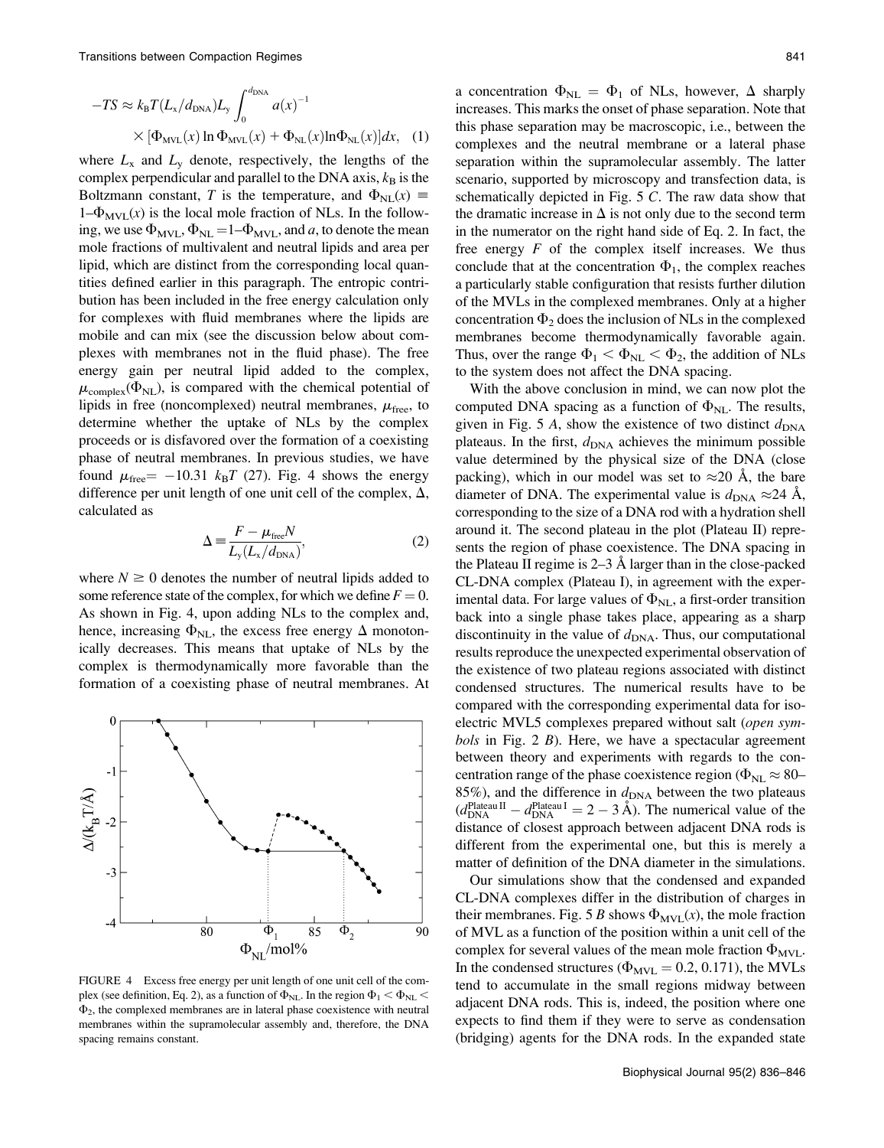$$
-TS \approx k_{\text{B}} T (L_x/d_{\text{DNA}}) L_y \int_0^{d_{\text{DNA}}} a(x)^{-1}
$$
  
 
$$
\times [\Phi_{\text{MVL}}(x) \ln \Phi_{\text{MVL}}(x) + \Phi_{\text{NL}}(x) \ln \Phi_{\text{NL}}(x)] dx, \quad (1)
$$

where  $L_x$  and  $L_y$  denote, respectively, the lengths of the complex perpendicular and parallel to the DNA axis,  $k_B$  is the Boltzmann constant, T is the temperature, and  $\Phi_{NL}(x) \equiv$  $1-\Phi_{MVL}(x)$  is the local mole fraction of NLs. In the following, we use  $\Phi_{MVL}$ ,  $\Phi_{NL} = 1 - \Phi_{MVL}$ , and a, to denote the mean mole fractions of multivalent and neutral lipids and area per lipid, which are distinct from the corresponding local quantities defined earlier in this paragraph. The entropic contribution has been included in the free energy calculation only for complexes with fluid membranes where the lipids are mobile and can mix (see the discussion below about complexes with membranes not in the fluid phase). The free energy gain per neutral lipid added to the complex,  $\mu_{\text{complex}}(\Phi_{\text{NL}})$ , is compared with the chemical potential of lipids in free (noncomplexed) neutral membranes,  $\mu_{\text{free}}$ , to determine whether the uptake of NLs by the complex proceeds or is disfavored over the formation of a coexisting phase of neutral membranes. In previous studies, we have found  $\mu_{\text{free}} = -10.31 \, k_{\text{B}}T$  (27). Fig. 4 shows the energy difference per unit length of one unit cell of the complex,  $\Delta$ , calculated as

$$
\Delta = \frac{F - \mu_{\text{free}} N}{L_y (L_x / d_{\text{DNA}})},
$$
\n(2)

where  $N \geq 0$  denotes the number of neutral lipids added to some reference state of the complex, for which we define  $F = 0$ . As shown in Fig. 4, upon adding NLs to the complex and, hence, increasing  $\Phi_{\text{NL}}$ , the excess free energy  $\Delta$  monotonically decreases. This means that uptake of NLs by the complex is thermodynamically more favorable than the formation of a coexisting phase of neutral membranes. At



FIGURE 4 Excess free energy per unit length of one unit cell of the complex (see definition, Eq. 2), as a function of  $\Phi_{NL}$ . In the region  $\Phi_1 < \Phi_{NL}$  $\Phi_2$ , the complexed membranes are in lateral phase coexistence with neutral membranes within the supramolecular assembly and, therefore, the DNA spacing remains constant.

a concentration  $\Phi_{NL} = \Phi_1$  of NLs, however,  $\Delta$  sharply increases. This marks the onset of phase separation. Note that this phase separation may be macroscopic, i.e., between the complexes and the neutral membrane or a lateral phase separation within the supramolecular assembly. The latter scenario, supported by microscopy and transfection data, is schematically depicted in Fig. 5 C. The raw data show that the dramatic increase in  $\Delta$  is not only due to the second term in the numerator on the right hand side of Eq. 2. In fact, the free energy  $F$  of the complex itself increases. We thus conclude that at the concentration  $\Phi_1$ , the complex reaches a particularly stable configuration that resists further dilution of the MVLs in the complexed membranes. Only at a higher concentration  $\Phi_2$  does the inclusion of NLs in the complexed membranes become thermodynamically favorable again. Thus, over the range  $\Phi_1 < \Phi_{NL} < \Phi_2$ , the addition of NLs to the system does not affect the DNA spacing.

With the above conclusion in mind, we can now plot the computed DNA spacing as a function of  $\Phi_{NL}$ . The results, given in Fig. 5 A, show the existence of two distinct  $d_{\text{DNA}}$ plateaus. In the first,  $d_{\text{DNA}}$  achieves the minimum possible value determined by the physical size of the DNA (close packing), which in our model was set to  $\approx$  20 Å, the bare diameter of DNA. The experimental value is  $d_{\text{DNA}} \approx 24 \text{ Å}$ , corresponding to the size of a DNA rod with a hydration shell around it. The second plateau in the plot (Plateau II) represents the region of phase coexistence. The DNA spacing in the Plateau II regime is  $2-3$  Å larger than in the close-packed CL-DNA complex (Plateau I), in agreement with the experimental data. For large values of  $\Phi_{NI}$ , a first-order transition back into a single phase takes place, appearing as a sharp discontinuity in the value of  $d_{DNA}$ . Thus, our computational results reproduce the unexpected experimental observation of the existence of two plateau regions associated with distinct condensed structures. The numerical results have to be compared with the corresponding experimental data for isoelectric MVL5 complexes prepared without salt (open sym $bols$  in Fig. 2  $B$ ). Here, we have a spectacular agreement between theory and experiments with regards to the concentration range of the phase coexistence region ( $\Phi_{\rm NL} \approx 80-$ 85%), and the difference in  $d_{\text{DNA}}$  between the two plateaus  $(d_{DNA}^{\text{Plateau II}} - d_{DNA}^{\text{Plateau I}} = 2 - 3 \text{ Å})$ . The numerical value of the distance of closest approach between adjacent DNA rods is different from the experimental one, but this is merely a matter of definition of the DNA diameter in the simulations.

Our simulations show that the condensed and expanded CL-DNA complexes differ in the distribution of charges in their membranes. Fig. 5 B shows  $\Phi_{MVL}(x)$ , the mole fraction of MVL as a function of the position within a unit cell of the complex for several values of the mean mole fraction  $\Phi_{\text{MVL}}$ . In the condensed structures ( $\Phi_{MVL} = 0.2, 0.171$ ), the MVLs tend to accumulate in the small regions midway between adjacent DNA rods. This is, indeed, the position where one expects to find them if they were to serve as condensation (bridging) agents for the DNA rods. In the expanded state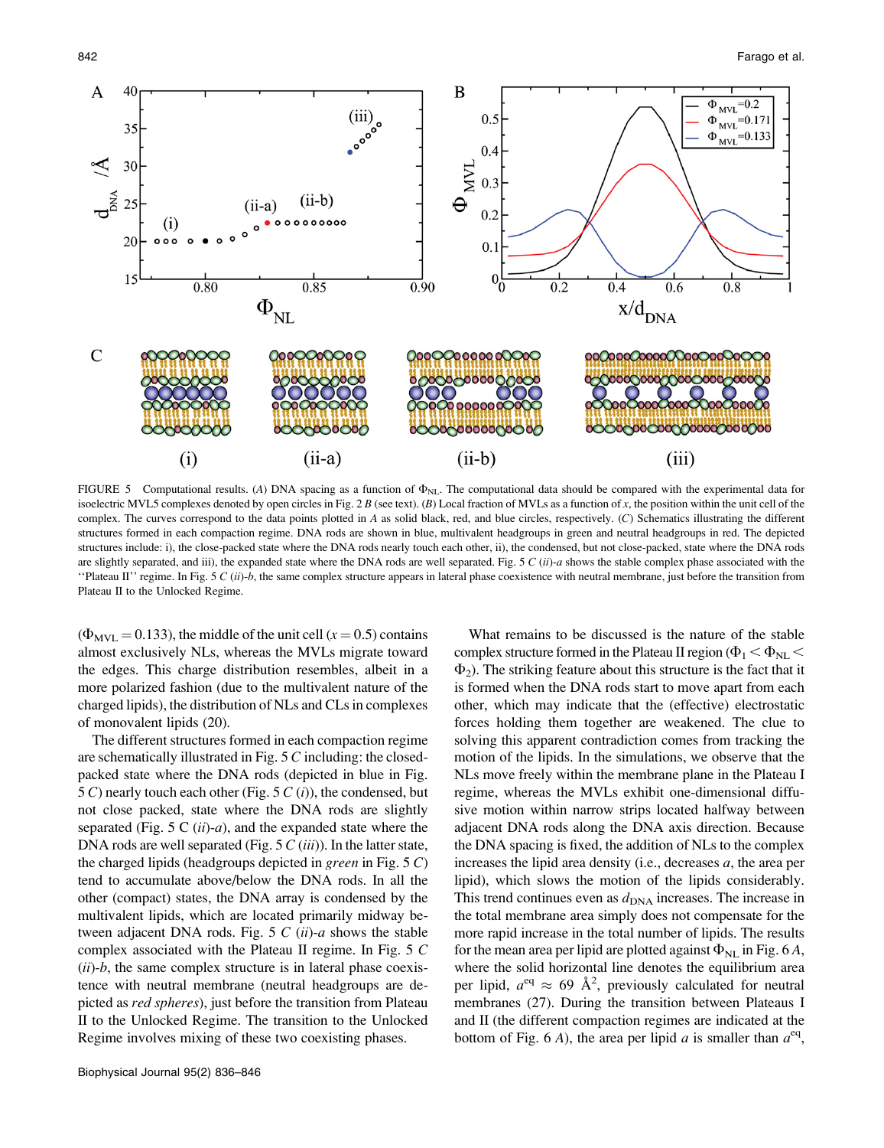

FIGURE 5 Computational results. (A) DNA spacing as a function of  $\Phi_{NL}$ . The computational data should be compared with the experimental data for isoelectric MVL5 complexes denoted by open circles in Fig. 2 B (see text). (B) Local fraction of MVLs as a function of x, the position within the unit cell of the complex. The curves correspond to the data points plotted in A as solid black, red, and blue circles, respectively. (C) Schematics illustrating the different structures formed in each compaction regime. DNA rods are shown in blue, multivalent headgroups in green and neutral headgroups in red. The depicted structures include: i), the close-packed state where the DNA rods nearly touch each other, ii), the condensed, but not close-packed, state where the DNA rods are slightly separated, and iii), the expanded state where the DNA rods are well separated. Fig. 5 C (ii)-a shows the stable complex phase associated with the "Plateau II" regime. In Fig. 5 C (ii)-b, the same complex structure appears in lateral phase coexistence with neutral membrane, just before the transition from Plateau II to the Unlocked Regime.

 $(\Phi_{MVL} = 0.133)$ , the middle of the unit cell  $(x = 0.5)$  contains almost exclusively NLs, whereas the MVLs migrate toward the edges. This charge distribution resembles, albeit in a more polarized fashion (due to the multivalent nature of the charged lipids), the distribution of NLs and CLs in complexes of monovalent lipids (20).

The different structures formed in each compaction regime are schematically illustrated in Fig. 5 C including: the closedpacked state where the DNA rods (depicted in blue in Fig. 5 C) nearly touch each other (Fig. 5 C  $(i)$ ), the condensed, but not close packed, state where the DNA rods are slightly separated (Fig. 5 C  $(ii)$ -a), and the expanded state where the DNA rods are well separated (Fig.  $5 C (iii)$ ). In the latter state, the charged lipids (headgroups depicted in green in Fig. 5 C) tend to accumulate above/below the DNA rods. In all the other (compact) states, the DNA array is condensed by the multivalent lipids, which are located primarily midway between adjacent DNA rods. Fig. 5  $C$  (ii)-a shows the stable complex associated with the Plateau II regime. In Fig. 5 C  $(ii)$ -b, the same complex structure is in lateral phase coexistence with neutral membrane (neutral headgroups are depicted as red spheres), just before the transition from Plateau II to the Unlocked Regime. The transition to the Unlocked Regime involves mixing of these two coexisting phases.

What remains to be discussed is the nature of the stable complex structure formed in the Plateau II region ( $\Phi_1 < \Phi_{NL} <$  $\Phi_2$ ). The striking feature about this structure is the fact that it is formed when the DNA rods start to move apart from each other, which may indicate that the (effective) electrostatic forces holding them together are weakened. The clue to solving this apparent contradiction comes from tracking the motion of the lipids. In the simulations, we observe that the NLs move freely within the membrane plane in the Plateau I regime, whereas the MVLs exhibit one-dimensional diffusive motion within narrow strips located halfway between adjacent DNA rods along the DNA axis direction. Because the DNA spacing is fixed, the addition of NLs to the complex increases the lipid area density (i.e., decreases a, the area per lipid), which slows the motion of the lipids considerably. This trend continues even as  $d_{\text{DNA}}$  increases. The increase in the total membrane area simply does not compensate for the more rapid increase in the total number of lipids. The results for the mean area per lipid are plotted against  $\Phi_{NL}$  in Fig. 6 A, where the solid horizontal line denotes the equilibrium area per lipid,  $a^{eq} \approx 69 \text{ Å}^2$ , previously calculated for neutral membranes (27). During the transition between Plateaus I and II (the different compaction regimes are indicated at the bottom of Fig. 6 A), the area per lipid a is smaller than  $a^{eq}$ ,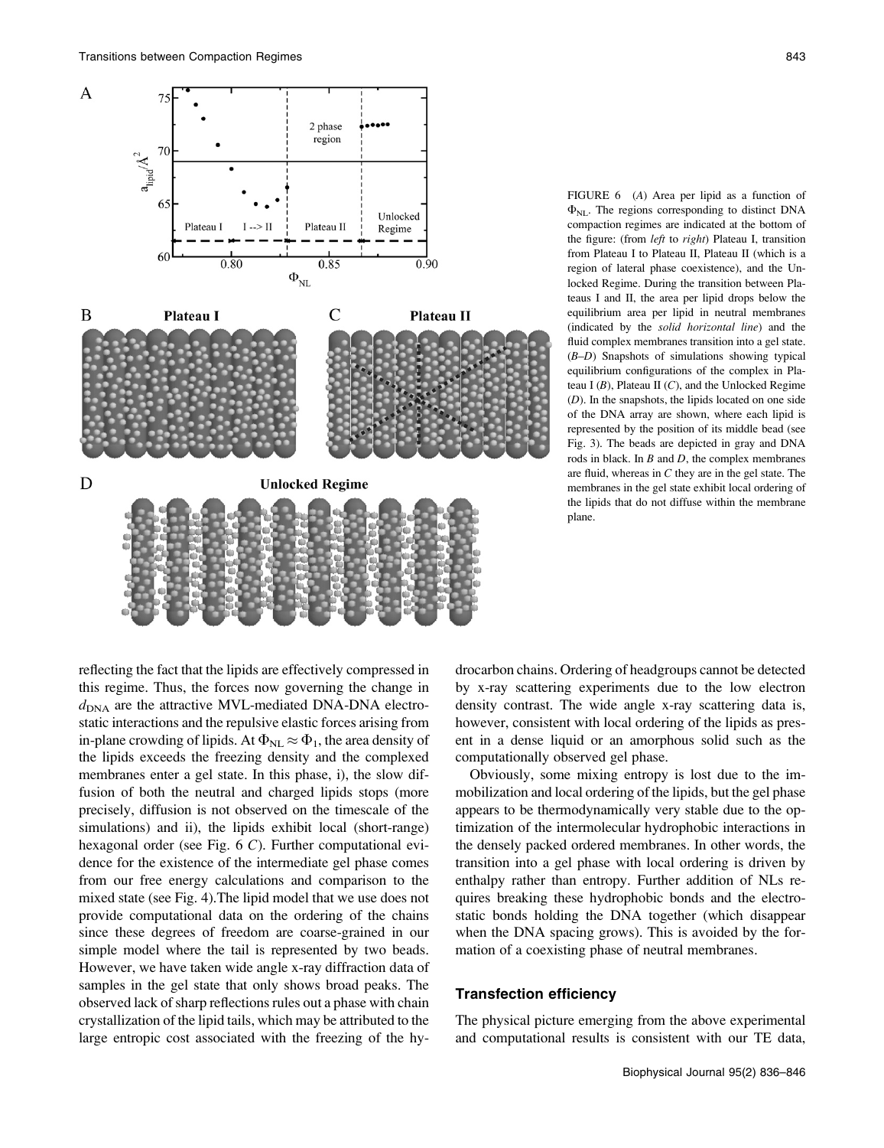

FIGURE 6 (A) Area per lipid as a function of  $\Phi_{\text{NL}}$ . The regions corresponding to distinct DNA compaction regimes are indicated at the bottom of the figure: (from left to right) Plateau I, transition from Plateau I to Plateau II, Plateau II (which is a region of lateral phase coexistence), and the Unlocked Regime. During the transition between Plateaus I and II, the area per lipid drops below the equilibrium area per lipid in neutral membranes (indicated by the solid horizontal line) and the fluid complex membranes transition into a gel state. (B–D) Snapshots of simulations showing typical equilibrium configurations of the complex in Plateau I  $(B)$ , Plateau II  $(C)$ , and the Unlocked Regime  $(D)$ . In the snapshots, the lipids located on one side of the DNA array are shown, where each lipid is represented by the position of its middle bead (see Fig. 3). The beads are depicted in gray and DNA rods in black. In  $B$  and  $D$ , the complex membranes are fluid, whereas in  $C$  they are in the gel state. The membranes in the gel state exhibit local ordering of the lipids that do not diffuse within the membrane plane.

reflecting the fact that the lipids are effectively compressed in this regime. Thus, the forces now governing the change in  $d_{\text{DNA}}$  are the attractive MVL-mediated DNA-DNA electrostatic interactions and the repulsive elastic forces arising from in-plane crowding of lipids. At  $\Phi_{\rm NL} \approx \Phi_1$ , the area density of the lipids exceeds the freezing density and the complexed membranes enter a gel state. In this phase, i), the slow diffusion of both the neutral and charged lipids stops (more precisely, diffusion is not observed on the timescale of the simulations) and ii), the lipids exhibit local (short-range) hexagonal order (see Fig. 6 C). Further computational evidence for the existence of the intermediate gel phase comes from our free energy calculations and comparison to the mixed state (see Fig. 4).The lipid model that we use does not provide computational data on the ordering of the chains since these degrees of freedom are coarse-grained in our simple model where the tail is represented by two beads. However, we have taken wide angle x-ray diffraction data of samples in the gel state that only shows broad peaks. The observed lack of sharp reflections rules out a phase with chain crystallization of the lipid tails, which may be attributed to the large entropic cost associated with the freezing of the hy-

drocarbon chains. Ordering of headgroups cannot be detected by x-ray scattering experiments due to the low electron density contrast. The wide angle x-ray scattering data is, however, consistent with local ordering of the lipids as present in a dense liquid or an amorphous solid such as the computationally observed gel phase.

Obviously, some mixing entropy is lost due to the immobilization and local ordering of the lipids, but the gel phase appears to be thermodynamically very stable due to the optimization of the intermolecular hydrophobic interactions in the densely packed ordered membranes. In other words, the transition into a gel phase with local ordering is driven by enthalpy rather than entropy. Further addition of NLs requires breaking these hydrophobic bonds and the electrostatic bonds holding the DNA together (which disappear when the DNA spacing grows). This is avoided by the formation of a coexisting phase of neutral membranes.

#### Transfection efficiency

The physical picture emerging from the above experimental and computational results is consistent with our TE data,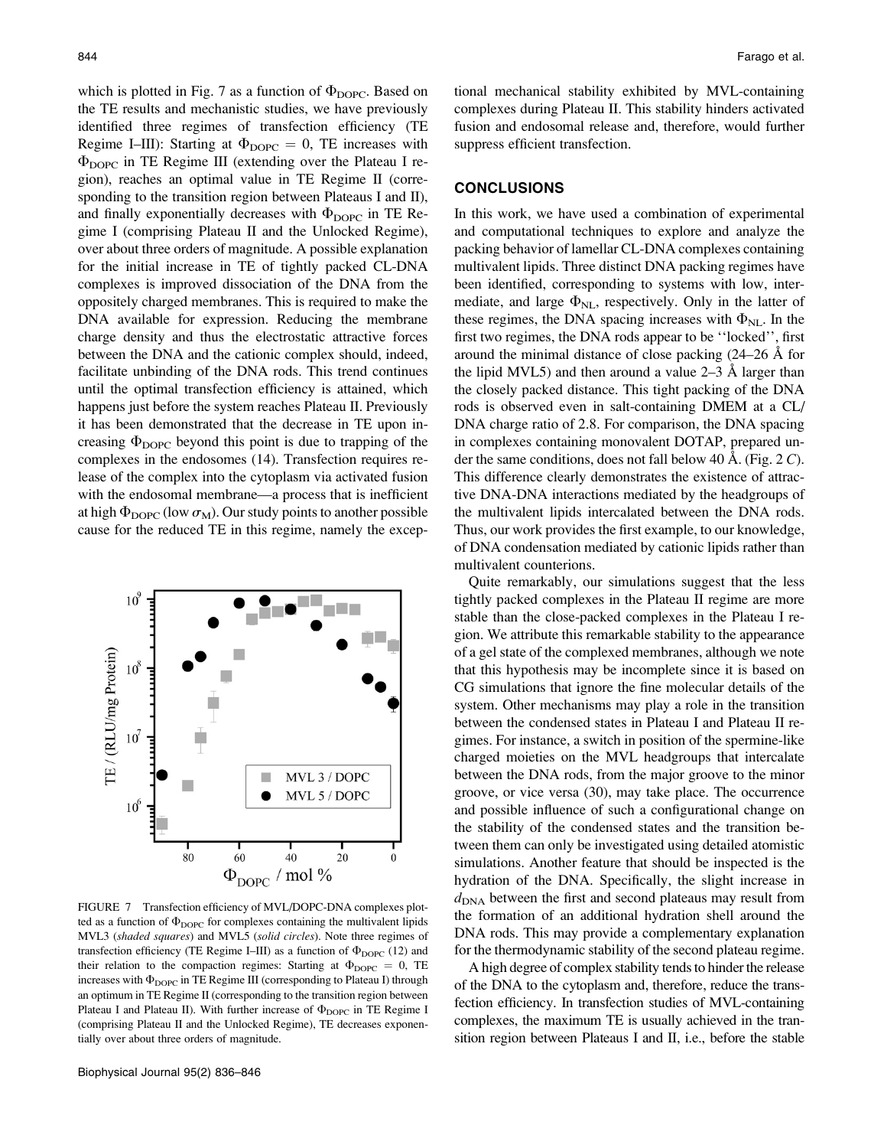which is plotted in Fig. 7 as a function of  $\Phi_{\text{DOPC}}$ . Based on the TE results and mechanistic studies, we have previously identified three regimes of transfection efficiency (TE Regime I–III): Starting at  $\Phi_{\text{DOPC}} = 0$ , TE increases with  $\Phi_{\text{DOPC}}$  in TE Regime III (extending over the Plateau I region), reaches an optimal value in TE Regime II (corresponding to the transition region between Plateaus I and II), and finally exponentially decreases with  $\Phi_{\text{DOPC}}$  in TE Regime I (comprising Plateau II and the Unlocked Regime), over about three orders of magnitude. A possible explanation for the initial increase in TE of tightly packed CL-DNA complexes is improved dissociation of the DNA from the oppositely charged membranes. This is required to make the DNA available for expression. Reducing the membrane charge density and thus the electrostatic attractive forces between the DNA and the cationic complex should, indeed, facilitate unbinding of the DNA rods. This trend continues until the optimal transfection efficiency is attained, which happens just before the system reaches Plateau II. Previously it has been demonstrated that the decrease in TE upon increasing  $\Phi_{\text{DOPC}}$  beyond this point is due to trapping of the complexes in the endosomes (14). Transfection requires release of the complex into the cytoplasm via activated fusion with the endosomal membrane—a process that is inefficient at high  $\Phi_{\text{DOPC}}$  (low  $\sigma_{\text{M}}$ ). Our study points to another possible cause for the reduced TE in this regime, namely the excep-



FIGURE 7 Transfection efficiency of MVL/DOPC-DNA complexes plotted as a function of  $\Phi_{\text{DOPC}}$  for complexes containing the multivalent lipids MVL3 (shaded squares) and MVL5 (solid circles). Note three regimes of transfection efficiency (TE Regime I–III) as a function of  $\Phi_{\text{DOPC}}$  (12) and their relation to the compaction regimes: Starting at  $\Phi_{\text{DOPC}} = 0$ , TE increases with  $\Phi_{\text{DOPC}}$  in TE Regime III (corresponding to Plateau I) through an optimum in TE Regime II (corresponding to the transition region between Plateau I and Plateau II). With further increase of  $\Phi_{\text{DOPC}}$  in TE Regime I (comprising Plateau II and the Unlocked Regime), TE decreases exponentially over about three orders of magnitude.

tional mechanical stability exhibited by MVL-containing complexes during Plateau II. This stability hinders activated fusion and endosomal release and, therefore, would further suppress efficient transfection.

# CONCLUSIONS

In this work, we have used a combination of experimental and computational techniques to explore and analyze the packing behavior of lamellar CL-DNA complexes containing multivalent lipids. Three distinct DNA packing regimes have been identified, corresponding to systems with low, intermediate, and large  $\Phi_{NL}$ , respectively. Only in the latter of these regimes, the DNA spacing increases with  $\Phi_{NL}$ . In the first two regimes, the DNA rods appear to be ''locked'', first around the minimal distance of close packing  $(24-26 \text{ Å}$  for the lipid MVL5) and then around a value  $2-3$  Å larger than the closely packed distance. This tight packing of the DNA rods is observed even in salt-containing DMEM at a CL/ DNA charge ratio of 2.8. For comparison, the DNA spacing in complexes containing monovalent DOTAP, prepared under the same conditions, does not fall below 40  $\AA$ . (Fig. 2 C). This difference clearly demonstrates the existence of attractive DNA-DNA interactions mediated by the headgroups of the multivalent lipids intercalated between the DNA rods. Thus, our work provides the first example, to our knowledge, of DNA condensation mediated by cationic lipids rather than multivalent counterions.

Quite remarkably, our simulations suggest that the less tightly packed complexes in the Plateau II regime are more stable than the close-packed complexes in the Plateau I region. We attribute this remarkable stability to the appearance of a gel state of the complexed membranes, although we note that this hypothesis may be incomplete since it is based on CG simulations that ignore the fine molecular details of the system. Other mechanisms may play a role in the transition between the condensed states in Plateau I and Plateau II regimes. For instance, a switch in position of the spermine-like charged moieties on the MVL headgroups that intercalate between the DNA rods, from the major groove to the minor groove, or vice versa (30), may take place. The occurrence and possible influence of such a configurational change on the stability of the condensed states and the transition between them can only be investigated using detailed atomistic simulations. Another feature that should be inspected is the hydration of the DNA. Specifically, the slight increase in  $d_{\text{DNA}}$  between the first and second plateaus may result from the formation of an additional hydration shell around the DNA rods. This may provide a complementary explanation for the thermodynamic stability of the second plateau regime.

A high degree of complex stability tends to hinder the release of the DNA to the cytoplasm and, therefore, reduce the transfection efficiency. In transfection studies of MVL-containing complexes, the maximum TE is usually achieved in the transition region between Plateaus I and II, i.e., before the stable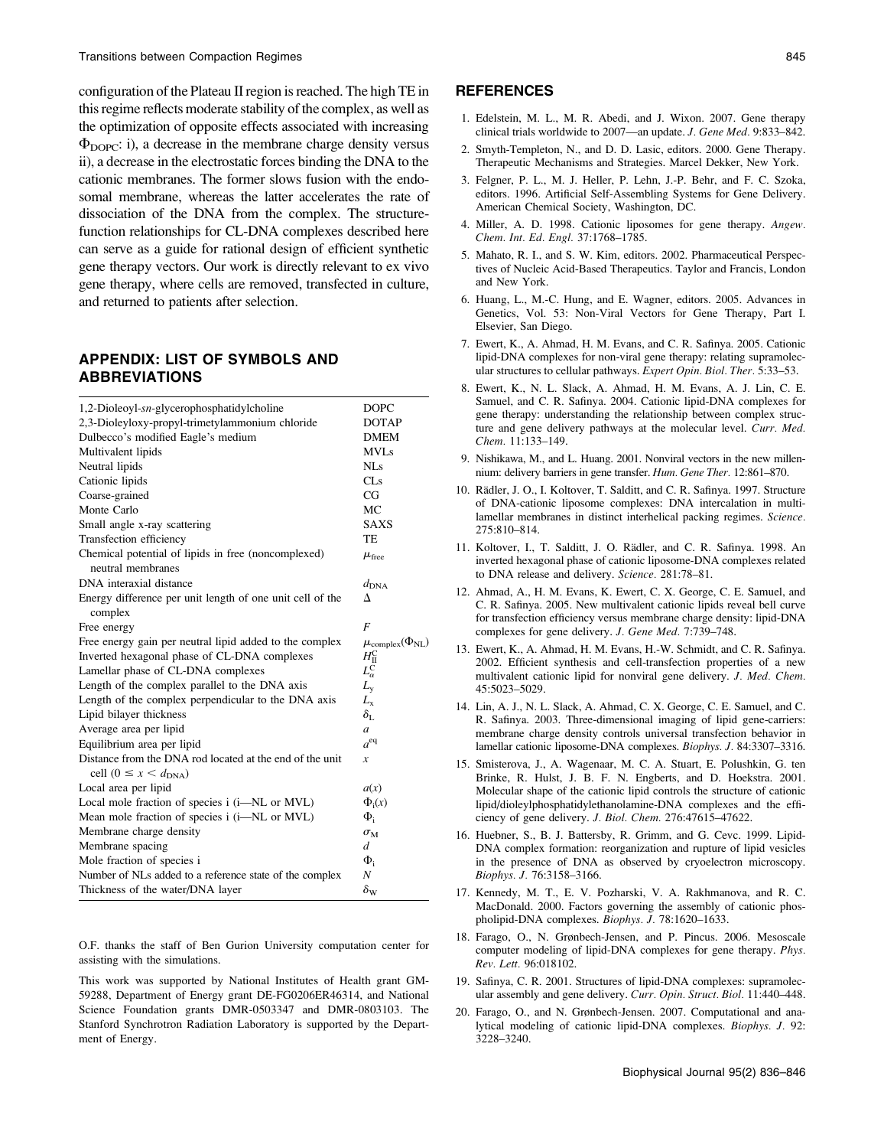configuration of the Plateau II region is reached. The high TE in this regime reflects moderate stability of the complex, as well as the optimization of opposite effects associated with increasing  $\Phi_{\text{DOPC}}$ : i), a decrease in the membrane charge density versus ii), a decrease in the electrostatic forces binding the DNA to the cationic membranes. The former slows fusion with the endosomal membrane, whereas the latter accelerates the rate of dissociation of the DNA from the complex. The structurefunction relationships for CL-DNA complexes described here can serve as a guide for rational design of efficient synthetic gene therapy vectors. Our work is directly relevant to ex vivo gene therapy, where cells are removed, transfected in culture, and returned to patients after selection.

# APPENDIX: LIST OF SYMBOLS AND ABBREVIATIONS

| 1,2-Dioleoyl-sn-glycerophosphatidylcholine                                                          | <b>DOPC</b>                              |
|-----------------------------------------------------------------------------------------------------|------------------------------------------|
| 2,3-Dioleyloxy-propyl-trimetylammonium chloride                                                     | <b>DOTAP</b>                             |
| Dulbecco's modified Eagle's medium                                                                  | <b>DMEM</b>                              |
| Multivalent lipids                                                                                  | <b>MVLs</b>                              |
| Neutral lipids                                                                                      | <b>NLs</b>                               |
| Cationic lipids                                                                                     | <b>CLs</b>                               |
| Coarse-grained                                                                                      | CG                                       |
| Monte Carlo                                                                                         | MC                                       |
| Small angle x-ray scattering                                                                        | <b>SAXS</b>                              |
| Transfection efficiency                                                                             | TE                                       |
| Chemical potential of lipids in free (noncomplexed)                                                 | $\mu_{\text{free}}$                      |
| neutral membranes                                                                                   |                                          |
| DNA interaxial distance                                                                             | $d_{\text{DNA}}$                         |
| Energy difference per unit length of one unit cell of the<br>complex                                | А                                        |
| Free energy                                                                                         | $\overline{F}$                           |
| Free energy gain per neutral lipid added to the complex                                             | $\mu_{\text{complex}}(\Phi_{\text{NL}})$ |
| Inverted hexagonal phase of CL-DNA complexes                                                        | $H_{\rm II}^{\rm C}$                     |
| Lamellar phase of CL-DNA complexes                                                                  | $L_{\alpha}^{\rm C}$                     |
| Length of the complex parallel to the DNA axis                                                      | $L_{v}$                                  |
| Length of the complex perpendicular to the DNA axis                                                 | $L_{\rm x}$                              |
| Lipid bilayer thickness                                                                             | $\delta_{\rm L}$                         |
| Average area per lipid                                                                              | a                                        |
| Equilibrium area per lipid                                                                          | $a^{eq}$                                 |
| Distance from the DNA rod located at the end of the unit<br>cell ( $0 \leq x \leq d_{\text{DNA}}$ ) | $\boldsymbol{x}$                         |
| Local area per lipid                                                                                | a(x)                                     |
| Local mole fraction of species i (i—NL or MVL)                                                      | $\Phi_i(x)$                              |
| Mean mole fraction of species i (i-NL or MVL)                                                       | $\Phi_i$                                 |
| Membrane charge density                                                                             | $\sigma_{\rm M}$                         |
| Membrane spacing                                                                                    | d                                        |
| Mole fraction of species i                                                                          | $\Phi_i$                                 |
| Number of NLs added to a reference state of the complex                                             | N                                        |
| Thickness of the water/DNA layer                                                                    | $\delta_{\rm W}$                         |

O.F. thanks the staff of Ben Gurion University computation center for assisting with the simulations.

This work was supported by National Institutes of Health grant GM-59288, Department of Energy grant DE-FG0206ER46314, and National Science Foundation grants DMR-0503347 and DMR-0803103. The Stanford Synchrotron Radiation Laboratory is supported by the Department of Energy.

### **REFERENCES**

- 1. Edelstein, M. L., M. R. Abedi, and J. Wixon. 2007. Gene therapy clinical trials worldwide to 2007—an update. J. Gene Med. 9:833–842.
- 2. Smyth-Templeton, N., and D. D. Lasic, editors. 2000. Gene Therapy. Therapeutic Mechanisms and Strategies. Marcel Dekker, New York.
- 3. Felgner, P. L., M. J. Heller, P. Lehn, J.-P. Behr, and F. C. Szoka, editors. 1996. Artificial Self-Assembling Systems for Gene Delivery. American Chemical Society, Washington, DC.
- 4. Miller, A. D. 1998. Cationic liposomes for gene therapy. Angew. Chem. Int. Ed. Engl. 37:1768–1785.
- 5. Mahato, R. I., and S. W. Kim, editors. 2002. Pharmaceutical Perspectives of Nucleic Acid-Based Therapeutics. Taylor and Francis, London and New York.
- 6. Huang, L., M.-C. Hung, and E. Wagner, editors. 2005. Advances in Genetics, Vol. 53: Non-Viral Vectors for Gene Therapy, Part I. Elsevier, San Diego.
- 7. Ewert, K., A. Ahmad, H. M. Evans, and C. R. Safinya. 2005. Cationic lipid-DNA complexes for non-viral gene therapy: relating supramolecular structures to cellular pathways. Expert Opin. Biol. Ther. 5:33–53.
- 8. Ewert, K., N. L. Slack, A. Ahmad, H. M. Evans, A. J. Lin, C. E. Samuel, and C. R. Safinya. 2004. Cationic lipid-DNA complexes for gene therapy: understanding the relationship between complex structure and gene delivery pathways at the molecular level. Curr. Med. Chem. 11:133–149.
- 9. Nishikawa, M., and L. Huang. 2001. Nonviral vectors in the new millennium: delivery barriers in gene transfer. Hum. Gene Ther. 12:861–870.
- 10. Rädler, J. O., I. Koltover, T. Salditt, and C. R. Safinya. 1997. Structure of DNA-cationic liposome complexes: DNA intercalation in multilamellar membranes in distinct interhelical packing regimes. Science. 275:810–814.
- 11. Koltover, I., T. Salditt, J. O. Rädler, and C. R. Safinya. 1998. An inverted hexagonal phase of cationic liposome-DNA complexes related to DNA release and delivery. Science. 281:78–81.
- 12. Ahmad, A., H. M. Evans, K. Ewert, C. X. George, C. E. Samuel, and C. R. Safinya. 2005. New multivalent cationic lipids reveal bell curve for transfection efficiency versus membrane charge density: lipid-DNA complexes for gene delivery. J. Gene Med. 7:739–748.
- 13. Ewert, K., A. Ahmad, H. M. Evans, H.-W. Schmidt, and C. R. Safinya. 2002. Efficient synthesis and cell-transfection properties of a new multivalent cationic lipid for nonviral gene delivery. J. Med. Chem. 45:5023–5029.
- 14. Lin, A. J., N. L. Slack, A. Ahmad, C. X. George, C. E. Samuel, and C. R. Safinya. 2003. Three-dimensional imaging of lipid gene-carriers: membrane charge density controls universal transfection behavior in lamellar cationic liposome-DNA complexes. Biophys. J. 84:3307–3316.
- 15. Smisterova, J., A. Wagenaar, M. C. A. Stuart, E. Polushkin, G. ten Brinke, R. Hulst, J. B. F. N. Engberts, and D. Hoekstra. 2001. Molecular shape of the cationic lipid controls the structure of cationic lipid/dioleylphosphatidylethanolamine-DNA complexes and the efficiency of gene delivery. J. Biol. Chem. 276:47615–47622.
- 16. Huebner, S., B. J. Battersby, R. Grimm, and G. Cevc. 1999. Lipid-DNA complex formation: reorganization and rupture of lipid vesicles in the presence of DNA as observed by cryoelectron microscopy. Biophys. J. 76:3158–3166.
- 17. Kennedy, M. T., E. V. Pozharski, V. A. Rakhmanova, and R. C. MacDonald. 2000. Factors governing the assembly of cationic phospholipid-DNA complexes. Biophys. J. 78:1620–1633.
- 18. Farago, O., N. Grønbech-Jensen, and P. Pincus. 2006. Mesoscale computer modeling of lipid-DNA complexes for gene therapy. Phys. Rev. Lett. 96:018102.
- 19. Safinya, C. R. 2001. Structures of lipid-DNA complexes: supramolecular assembly and gene delivery. Curr. Opin. Struct. Biol. 11:440–448.
- 20. Farago, O., and N. Grønbech-Jensen. 2007. Computational and analytical modeling of cationic lipid-DNA complexes. Biophys. J. 92: 3228–3240.